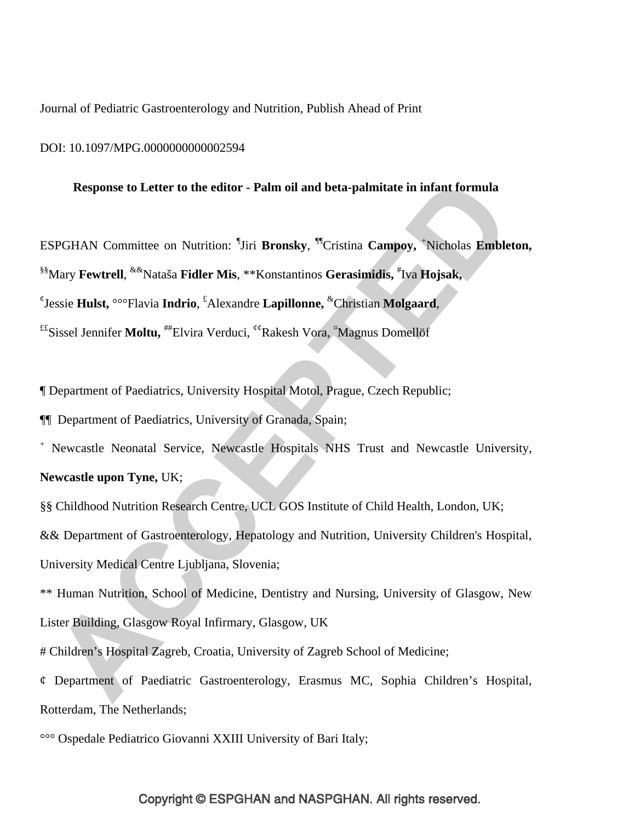Journal of Pediatric Gastroenterology and Nutrition, Publish Ahead of Print

#### DOI: 10.1097/MPG.0000000000002594

### **Response to Letter to the editor - Palm oil and beta-palmitate in infant formula**

ESPGHAN Committee on Nutrition: ¶ Jiri **Bronsky**, ¶¶Cristina **Campoy,** <sup>+</sup> Nicholas **Embleton,** §§Mary **Fewtrell**, &&Nataša **Fidler Mis**, \*\*Konstantinos **Gerasimidis,** # Iva **Hojsak,** ¢ Jessie **Hulst,** °°°Flavia **Indrio**, £ Alexandre **Lapillonne,** &Christian **Molgaard**, ££Sissel Jennifer **Moltu,** ##Elvira Verduci, ¢¢Rakesh Vora, ¤ Magnus Domellöf

¶ Department of Paediatrics, University Hospital Motol, Prague, Czech Republic;

¶¶ Department of Paediatrics, University of Granada, Spain;

+ Newcastle Neonatal Service, Newcastle Hospitals NHS Trust and Newcastle University,

# **Newcastle upon Tyne,** UK;

§§ Childhood Nutrition Research Centre, UCL GOS Institute of Child Health, London, UK;

&& Department of Gastroenterology, Hepatology and Nutrition, University Children's Hospital,

University Medical Centre Ljubljana, Slovenia;

\*\* Human Nutrition, School of Medicine, Dentistry and Nursing, University of Glasgow, New Lister Building, Glasgow Royal Infirmary, Glasgow, UK

# Children's Hospital Zagreb, Croatia, University of Zagreb School of Medicine;

¢ Department of Paediatric Gastroenterology, Erasmus MC, Sophia Children's Hospital, Rotterdam, The Netherlands;

°°° Ospedale Pediatrico Giovanni XXIII University of Bari Italy;

# Copyright © ESPGHAN and NASPGHAN. All rights reserved.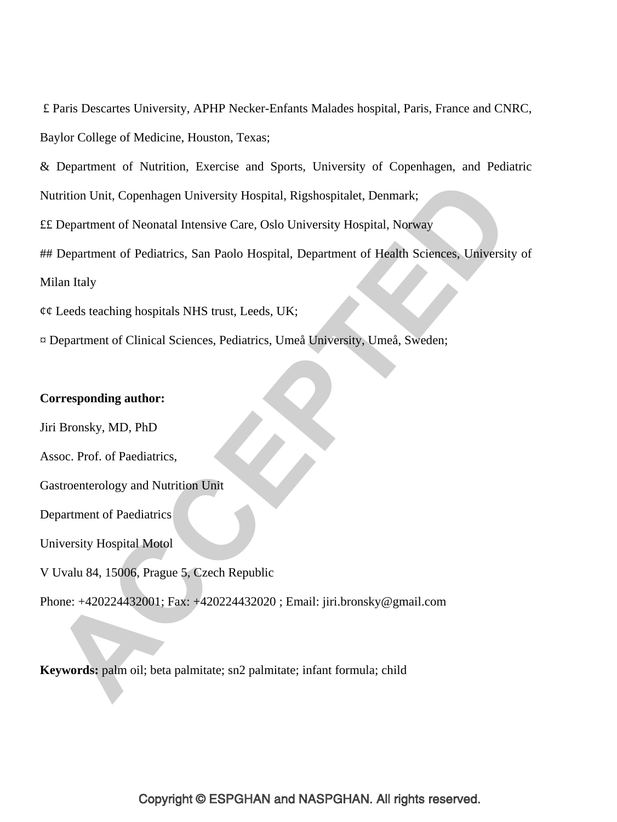£ Paris Descartes University, APHP Necker-Enfants Malades hospital, Paris, France and CNRC, Baylor College of Medicine, Houston, Texas;

& Department of Nutrition, Exercise and Sports, University of Copenhagen, and Pediatric

Nutrition Unit, Copenhagen University Hospital, Rigshospitalet, Denmark;

££ Department of Neonatal Intensive Care, Oslo University Hospital, Norway

## Department of Pediatrics, San Paolo Hospital, Department of Health Sciences, University of Milan Italy

 $\phi\phi$  Leeds teaching hospitals NHS trust, Leeds, UK;

¤ Department of Clinical Sciences, Pediatrics, Umeå University, Umeå, Sweden;

# **Corresponding author:**

Jiri Bronsky, MD, PhD

Assoc. Prof. of Paediatrics,

Gastroenterology and Nutrition Unit

Department of Paediatrics

University Hospital Motol

V Uvalu 84, 15006, Prague 5, Czech Republic

Phone: +420224432001; Fax: +420224432020 ; Email: jiri.bronsky@gmail.com

**Keywords:** palm oil; beta palmitate; sn2 palmitate; infant formula; child